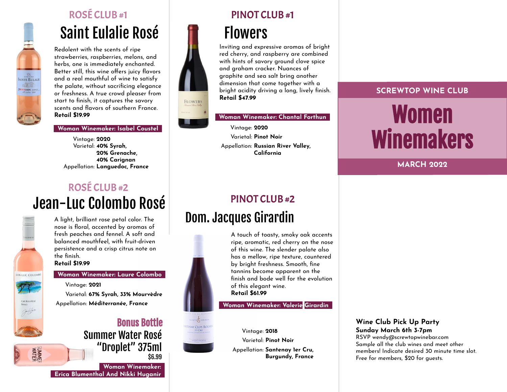

# ROSÉ CLUB #1 PINOT CLUB #1

# Saint Eulalie Rosé Flowers

Redolent with the scents of ripe strawberries, raspberries, melons, and herbs, one is immediately enchanted. Better still, this wine offers juicy flavors and a real mouthful of wine to satisfy the palate, without sacrificing elegance or freshness. A true crowd pleaser from start to finish, it captures the savory scents and flavors of southern France. **Retail \$19.99**

## **\_Woman Winemaker: Isabel Coustel\_**

Vintage: **2020** Varietal: **40% Syrah, 20% Grenache, 40% Carignan** Appellation: **Languedoc, France**

# Jean-Luc Colombo Rosé ROSÉ CLUB #2



A light, brilliant rose petal color. The nose is floral, accented by aromas of fresh peaches and fennel. A soft and balanced mouthfeel, with fruit-driven persistence and a crisp citrus note on the finish.

**Retail \$19.99**

## **\_Woman Winemaker: Laure Colombo\_**

Vintage: **2021** Varietal: **67% Syrah, 33% Mourvèdre** Appellation: **Méditerranée, France**

# Summer Water Rosé "Droplet" 375ml \$6.99 Bonus Bottle

**\_Woman Winemaker:\_ \_Erica Blumenthal And Nikki Huganir\_**



Inviting and expressive aromas of bright red cherry, and raspberry are combined with hints of savory ground clove spice and graham cracker. Nuances of graphite and sea salt bring another dimension that come together with a bright acidity driving a long, lively finish. **Retail \$47.99**

**\_Woman Winemaker: Chantal Forthun\_**

Vintage: **2020** Varietal: **Pinot Noir** Appellation: **Russian River Valley, California**

# PINOT CLUB #2

# Dom. Jacques Girardin



A touch of toasty, smoky oak accents ripe, aromatic, red cherry on the nose of this wine. The slender palate also has a mellow, ripe texture, countered by bright freshness. Smooth, fine tannins become apparent on the finish and bode well for the evolution of this elegant wine. **Retail \$61.99**

**\_Woman Winemaker: Valerie Girardin\_**



# **SCREWTOP WINE CLUB** Women **Winemakers**

**MARCH 2022**

## **Wine Club Pick Up Party Sunday March 6th 3-7pm**

RSVP wendy@screwtopwinebar.com Sample all the club wines and meet other members! Indicate desired 30 minute time slot. Free for members, \$20 for guests.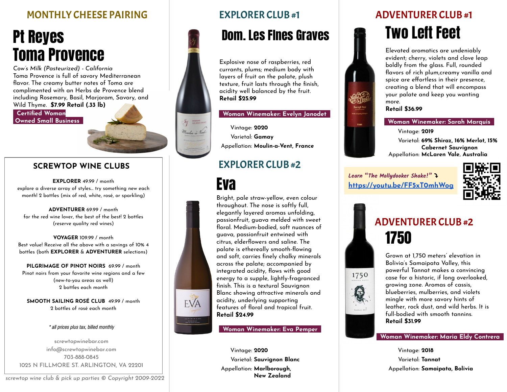# MONTHLY CHEESE PAIRING

# Pt Reyes Toma Provence

*Cow's Milk (Pasteurized) - California* Toma Provence is full of savory Mediterranean flavor. The creamy butter notes of Toma are complimented with an Herbs de Provence blend including Rosemary, Basil, Marjoram, Savory, and Wild Thyme. **\$7.99 Retail (.33 lb)**

**\_Certified Woman Owned Small Business\_**

# **SCREWTOP WINE CLUBS** EXPLORER CLUB #2

**EXPLORER** 49.99 / month<br>explore a diverse array of styles... try something new each month! 2 bottles (mix of red, white, rosé, or sparkling)

**ADVENTURER** 69.99 / month for the red wine lover, the best of the best! 2 bottles (reserve quality red wines)

### **VOYAGER** 109.99 / month Best value! Receive all the above with a savings of 10% 4 bottles (both **EXPLORER** & **ADVENTURER** selections)

**PILGRIMAGE OF PINOT NOIRS** 69.99 / month Pinot noirs from your favorite wine regions and a few (new-to-you areas as well) 2 bottles each month

**SMOOTH SAILING ROSÉ CLUB** 49.99 / month 2 bottles of rosé each month

## \* all prices plus tax, billed monthly

screwtopwinebar.com info@screwtopwinebar.com 703-888-0845 1025 N FILLMORE ST. ARLINGTON, VA 22201

# Dom. Les Fines Graves **TWO Left Feet**

Explosive nose of raspberries, red currants, plums; medium body with layers of fruit on the palate, plush texture, fruit lasts through the finish, acidity well balanced by the fruit. **Retail \$25.99**

## **\_Woman Winemaker: Evelyn Janodet\_**

Vintage: **2020** Varietal: **Gamay** Appellation: **Moulin-a-Vent, France**

Iq DOMANS Montin à Ver

**EVA** 

Bright, pale straw-yellow, even colour throughout. The nose is softly full, elegantly layered aromas unfolding, passionfruit, guava melded with sweet floral. Medium-bodied, soft nuances of guava, passionfruit entwined with citrus, elderflowers and saline. The palate is ethereally smooth-flowing and soft, carries finely chalky minerals across the palate; accompanied by integrated acidity, flows with good energy to a supple, lightly-fragranced finish. This is a textural Sauvignon Blanc showing attractive minerals and acidity, underlying supporting features of floral and tropical fruit. **Retail \$24.99**

**\_Woman Winemaker: Eva Pemper\_**

Vintage: **2020** Varietal: **Sauvignon Blanc** Appellation: **Marlborough, New Zealand**

# EXPLORER CLUB #1 ADVENTURER CLUB #1

Elevated aromatics are undeniably evident; cherry, violets and clove leap boldly from the glass. Full, rounded flavors of rich plum,creamy vanilla and spice are effortless in their presence, creating a blend that will encompass your palate and keep you wanting more.

**Retail \$36.99**

## **\_Woman Winemaker: Sarah Marquis\_**

Vintage: **2019**

Varietal: **69% Shiraz, 16% Merlot, 15% Cabernet Sauvignon** Appellation: **McLaren Vale, Australia**

Learn "The Mollydooker Shake!" **<https://youtu.be/FF5xT0mhWog>**



# 1750 ADVENTURER CLUB #2



Grown at 1,750 meters' elevation in Bolivia's Samaipata Valley, this powerful Tannat makes a convincing case for a historic, if long overlooked, growing zone. Aromas of cassis, blueberries, mulberries, and violets mingle with more savory hints of leather, rock dust, and wild herbs. It is full-bodied with smooth tannins. **Retail \$31.99**

## **\_Woman Winemaker: Maria Eldy Contrera\_**

Vintage: **2018** Varietal: **Tannat** Appellation: **Samaipata, Bolivia**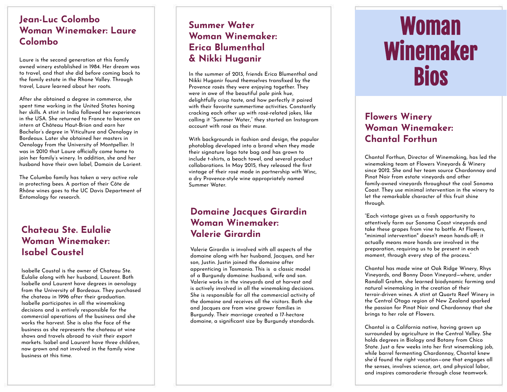## **Jean-Luc Colombo Woman Winemaker: Laure Colombo**

Laure is the second generation at this family owned winery established in 1984. Her dream was to travel, and that she did before coming back to the family estate in the Rhone Valley. Through travel, Laure learned about her roots.

After she obtained a degree in commerce, she spent time working in the United States honing her skills. A stint in India followed her experiences in the USA. She returned to France to become an intern at Château Haut-Brion and earn her Bachelor's degree in Viticulture and Oenology in Bordeaux. Later she obtained her masters in Oenology from the University of Montpellier. It was in 2010 that Laure officially came home to join her family's winery. In addition, she and her husband have their own label, Domain de Lorient.

The Columbo family has taken a very active role in protecting bees. A portion of their Côte de Rhône wines goes to the UC Davis Department of Entomology for research.

# **Chateau Ste. Eulalie Woman Winemaker: Isabel Coustel**

Isabelle Coustal is the owner of Chateau Ste. Eulalie along with her husband, Laurent. Both Isabelle and Laurent have degrees in oenology from the University of Bordeaux. They purchased the chateau in 1996 after their graduation. Isabelle participates in all the winemaking decisions and is entirely responsible for the commercial operations of the business and she works the harvest. She is also the face of the business as she represents the chateau at wine shows and travels abroad to visit their export markets. Isabel and Laurent have three children, now grown and not involved in the family wine business at this time.

# **Summer Water Woman Winemaker: Erica Blumenthal & Nikki Huganir**

In the summer of 2013, friends Erica Blumenthal and Nikki Huganir found themselves transfixed by the Provence rosés they were enjoying together. They were in awe of the beautiful pale pink hue, delightfully crisp taste, and how perfectly it paired with their favorite summertime activities. Constantly cracking each other up with rosé-related jokes, like calling it "Summer Water," they started an Instagram account with rosé as their muse.

With backgrounds in fashion and design, the popular photoblog developed into a brand when they made their signature logo tote bag and has grown to include t-shirts, a beach towel, and several product collaborations. In May 2015, they released the first vintage of their rosé made in partnership with Winc, a dry Provence-style wine appropriately named Summer Water.

# **Domaine Jacques Girardin Woman Winemaker: Valerie Girardin**

Valerie Girardin is involved with all aspects of the domaine along with her husband, Jacques, and her son, Justin. Justin joined the domaine after apprenticing in Tasmania. This is a classic model of a Burgundy domaine: husband, wife and son. Valerie works in the vineyards and at harvest and is actively involved in all the winemaking decisions. She is responsible for all the commercial activity of the domaine and receives all the visitors. Both she and Jacques are from wine grower families in Burgundy. Their marriage created a 17-hectare domaine, a significant size by Burgundy standards.

# Woman Winemaker Bios

# **Flowers Winery Woman Winemaker: Chantal Forthun**

Chantal Forthun, Director of Winemaking, has led the winemaking team at Flowers Vineyards & Winery since 2012. She and her team source Chardonnay and Pinot Noir from estate vineyards and other family-owned vineyards throughout the cool Sonoma Coast. They use minimal intervention in the winery to let the remarkable character of this fruit shine through.

"Each vintage gives us a fresh opportunity to attentively farm our Sonoma Coast vineyards and take these grapes from vine to bottle. At Flowers, "minimal intervention" doesn't mean hands-off; it actually means more hands are involved in the preparation, requiring us to be present in each moment, through every step of the process."

Chantal has made wine at Oak Ridge Winery, Rhys Vineyards, and Bonny Doon Vineyard—where, under Randall Grahm, she learned biodynamic farming and natural winemaking in the creation of their terroir-driven wines. A stint at Quartz Reef Winery in the Central Otago region of New Zealand sparked the passion for Pinot Noir and Chardonnay that she brings to her role at Flowers.

Chantal is a California native, having grown up surrounded by agriculture in the Central Valley. She holds degrees in Biology and Botany from Chico State. Just a few weeks into her first winemaking job, while barrel fermenting Chardonnay, Chantal knew she'd found the right vocation—one that engages all the senses, involves science, art, and physical labor, and inspires camaraderie through close teamwork.